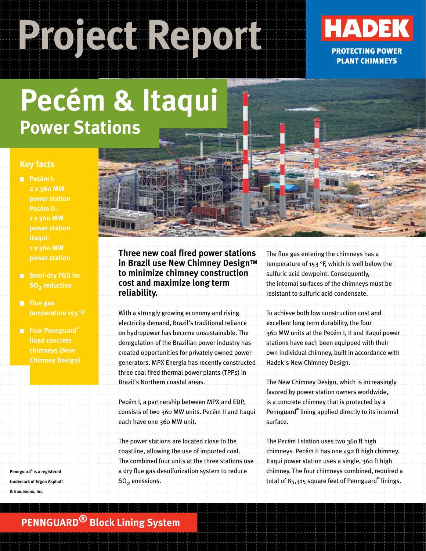# Project Report**ued HADEK**



# **Pecém & Itaqui Power Stations**

#### **Key facts**

- **Pecém I: 2 x 360 MW power station Pecém II: 1 x 360 MW power station Itaqui: 1 x 360 MW power station**
- **Semi-dry FGD for SO<sub>2</sub>** reduction
- **Flue gas temperature 153 °F**
- **Four Pennguard® chimneys (New Chimney Design)**

**Pennguard® is a registered trademark of Ergon Asphalt & Emulsions, Inc.**

**Three new coal fired power stations in Brazil use New Chimney Design™ to minimize chimney construction cost and maximize long term reliability.**

With a strongly growing economy and rising electricity demand, Brazil's traditional reliance on hydropower has become unsustainable. The deregulation of the Brazilian power industry has created opportunities for privately owned power generators. MPX Energia has recently constructed three coal fired thermal power plants (TPPs) in Brazil's Northern coastal areas.

Pecém I, a partnership between MPX and EDP, consists of two 360 MW units. Pecém II and Itaqui each have one 360 MW unit.

The power stations are located close to the coastline, allowing the use of imported coal. The combined four units at the three stations use a dry flue gas desulfurization system to reduce  $SO<sub>2</sub>$  emissions.

The flue gas entering the chimneys has a temperature of 153 °F, which is well below the sulfuric acid dewpoint. Consequently, the internal surfaces of the chimneys must be resistant to sulfuric acid condensate.

To achieve both low construction cost and excellent long term durability, the four 360 MW units at the Pecém I, II and Itaqui power stations have each been equipped with their own individual chimney, built in accordance with Hadek's New Chimney Design.

The New Chimney Design, which is increasingly favored by power station owners worldwide, is a concrete chimney that is protected by a Pennguard**®** lining applied directly to its internal surface.

The Pecém I station uses two 360 ft high chimneys. Pecém II has one 492 ft high chimney. Itaqui power station uses a single, 360 ft high chimney. The four chimneys combined, required a total of 85,315 square feet of Pennguard**®** linings.

### **PENNGUARD® Block Lining System**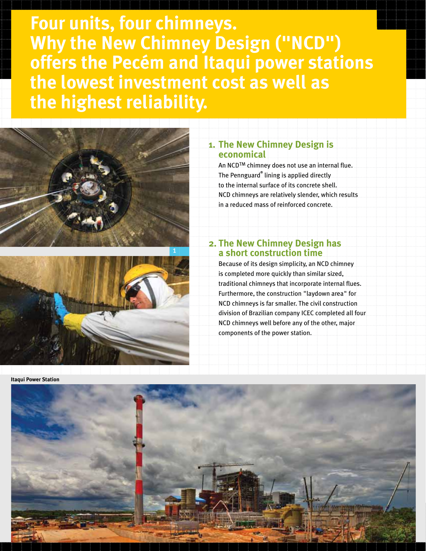**Four units, four chimneys. Why the New Chimney Design ("NCD") offers the Pecém and Itaqui power stations the lowest investment cost as well as the highest reliability.**





**Itaqui Power Station**

#### **1. The New Chimney Design is economical**

An NCDTM chimney does not use an internal flue. The Pennguard**®** lining is applied directly to the internal surface of its concrete shell. NCD chimneys are relatively slender, which results in a reduced mass of reinforced concrete.

#### **2. The New Chimney Design has a short construction time**

Because of its design simplicity, an NCD chimney is completed more quickly than similar sized, traditional chimneys that incorporate internal flues. Furthermore, the construction "laydown area" for NCD chimneys is far smaller. The civil construction division of Brazilian company ICEC completed all four NCD chimneys well before any of the other, major components of the power station.

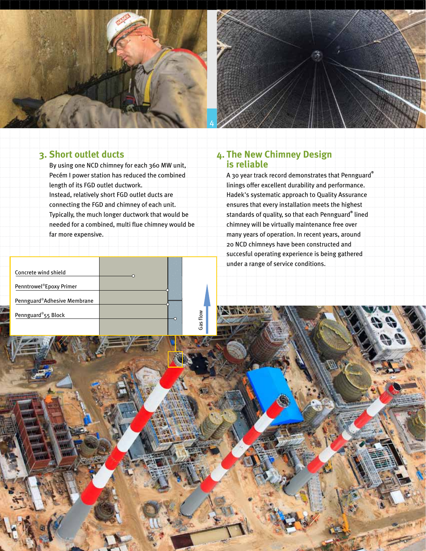



#### **3. Short outlet ducts**

By using one NCD chimney for each 360 MW unit, Pecém I power station has reduced the combined length of its FGD outlet ductwork.

Instead, relatively short FGD outlet ducts are connecting the FGD and chimney of each unit. Typically, the much longer ductwork that would be needed for a combined, multi flue chimney would be far more expensive.

Gas flow

| Concrete wind shield                 |  |
|--------------------------------------|--|
| Penntrowel <sup>®</sup> Epoxy Primer |  |
| Pennguard®Adhesive Membrane          |  |
| Pennguard®55 Block                   |  |
|                                      |  |

#### **4. The New Chimney Design is reliable**

A 30 year track record demonstrates that Pennguard**®** linings offer excellent durability and performance. Hadek's systematic approach to Quality Assurance ensures that every installation meets the highest standards of quality, so that each Pennguard**®** lined chimney will be virtually maintenance free over many years of operation. In recent years, around 20 NCD chimneys have been constructed and succesful operating experience is being gathered under a range of service conditions.